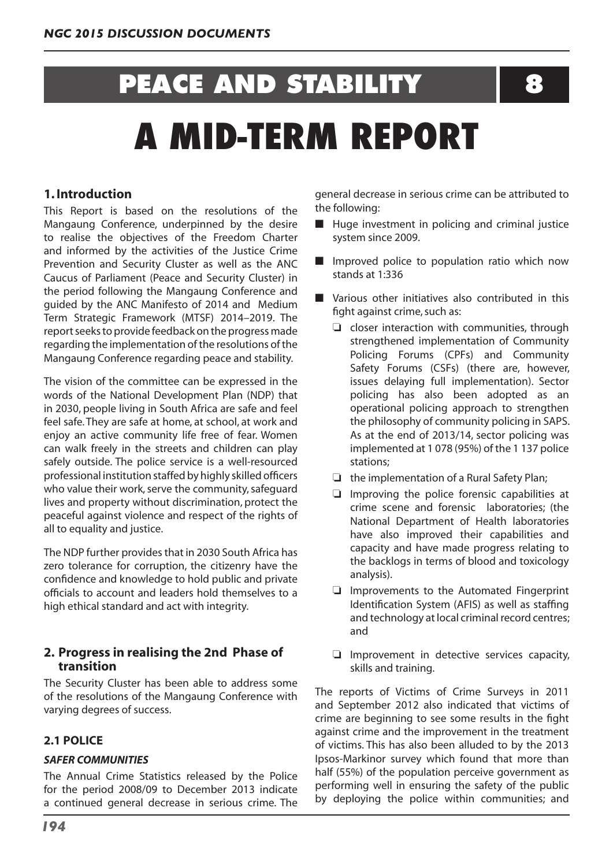# **PEACE AND STABILITY 8**

# **A MID-TERM REPORT**

# **1. Introduction**

This Report is based on the resolutions of the Mangaung Conference, underpinned by the desire to realise the objectives of the Freedom Charter and informed by the activities of the Justice Crime Prevention and Security Cluster as well as the ANC Caucus of Parliament (Peace and Security Cluster) in the period following the Mangaung Conference and guided by the ANC Manifesto of 2014 and Medium Term Strategic Framework (MTSF) 2014–2019. The report seeks to provide feedback on the progress made regarding the implementation of the resolutions of the Mangaung Conference regarding peace and stability.

The vision of the committee can be expressed in the words of the National Development Plan (NDP) that in 2030, people living in South Africa are safe and feel feel safe. They are safe at home, at school, at work and enjoy an active community life free of fear. Women can walk freely in the streets and children can play safely outside. The police service is a well-resourced professional institution staffed by highly skilled officers who value their work, serve the community, safeguard lives and property without discrimination, protect the peaceful against violence and respect of the rights of all to equality and justice.

The NDP further provides that in 2030 South Africa has zero tolerance for corruption, the citizenry have the confidence and knowledge to hold public and private officials to account and leaders hold themselves to a high ethical standard and act with integrity.

### **2. Progress in realising the 2nd Phase of transition**

The Security Cluster has been able to address some of the resolutions of the Mangaung Conference with varying degrees of success.

# **2.1 POLICE**

#### *SAFER COMMUNITIES*

The Annual Crime Statistics released by the Police for the period 2008/09 to December 2013 indicate a continued general decrease in serious crime. The

general decrease in serious crime can be attributed to the following:

- $\blacksquare$  Huge investment in policing and criminal justice system since 2009.
- $\blacksquare$  Improved police to population ratio which now stands at 1:336
- $\blacksquare$  Various other initiatives also contributed in this fight against crime, such as:
	- $\Box$  closer interaction with communities, through strengthened implementation of Community Policing Forums (CPFs) and Community Safety Forums (CSFs) (there are, however, issues delaying full implementation). Sector policing has also been adopted as an operational policing approach to strengthen the philosophy of community policing in SAPS. As at the end of 2013/14, sector policing was implemented at 1 078 (95%) of the 1 137 police stations;
	- $\Box$  the implementation of a Rural Safety Plan;
	- $\Box$  Improving the police forensic capabilities at crime scene and forensic laboratories; (the National Department of Health laboratories have also improved their capabilities and capacity and have made progress relating to the backlogs in terms of blood and toxicology analysis).
	- $\Box$  Improvements to the Automated Fingerprint Identification System (AFIS) as well as staffing and technology at local criminal record centres; and
	- $\Box$  Improvement in detective services capacity, skills and training.

The reports of Victims of Crime Surveys in 2011 and September 2012 also indicated that victims of crime are beginning to see some results in the fight against crime and the improvement in the treatment of victims. This has also been alluded to by the 2013 Ipsos-Markinor survey which found that more than half (55%) of the population perceive government as performing well in ensuring the safety of the public by deploying the police within communities; and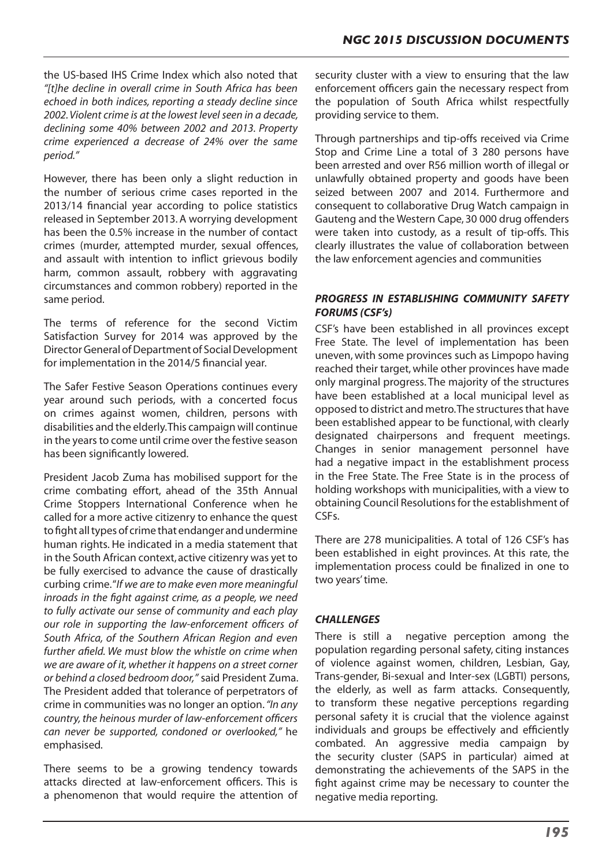the US-based IHS Crime Index which also noted that *"[t]he decline in overall crime in South Africa has been echoed in both indices, reporting a steady decline since 2002. Violent crime is at the lowest level seen in a decade, declining some 40% between 2002 and 2013. Property crime experienced a decrease of 24% over the same period."*

However, there has been only a slight reduction in the number of serious crime cases reported in the 2013/14 financial year according to police statistics released in September 2013.A worrying development has been the 0.5% increase in the number of contact crimes (murder, attempted murder, sexual offences, and assault with intention to inflict grievous bodily harm, common assault, robbery with aggravating circumstances and common robbery) reported in the same period.

The terms of reference for the second Victim Satisfaction Survey for 2014 was approved by the Director General of Department of Social Development for implementation in the 2014/5 financial year.

The Safer Festive Season Operations continues every year around such periods, with a concerted focus on crimes against women, children, persons with disabilities and the elderly.This campaign will continue in the years to come until crime over the festive season has been significantly lowered.

President Jacob Zuma has mobilised support for the crime combating effort, ahead of the 35th Annual Crime Stoppers International Conference when he called for a more active citizenry to enhance the quest to fight all types of crime that endanger and undermine human rights. He indicated in a media statement that in the South African context, active citizenry was yet to be fully exercised to advance the cause of drastically curbing crime."*If we are to make even more meaningful inroads in the fight against crime, as a people, we need to fully activate our sense of community and each play our role in supporting the law-enforcement officers of South Africa, of the Southern African Region and even further afield. We must blow the whistle on crime when we are aware of it, whether it happens on a street corner or behind a closed bedroom door,"* said President Zuma. The President added that tolerance of perpetrators of crime in communities was no longer an option.*"In any country, the heinous murder of law-enforcement officers can never be supported, condoned or overlooked,"* he emphasised.

There seems to be a growing tendency towards attacks directed at law-enforcement officers. This is a phenomenon that would require the attention of security cluster with a view to ensuring that the law enforcement officers gain the necessary respect from the population of South Africa whilst respectfully providing service to them.

Through partnerships and tip-offs received via Crime Stop and Crime Line a total of 3 280 persons have been arrested and over R56 million worth of illegal or unlawfully obtained property and goods have been seized between 2007 and 2014. Furthermore and consequent to collaborative Drug Watch campaign in Gauteng and the Western Cape, 30 000 drug offenders were taken into custody, as a result of tip-offs. This clearly illustrates the value of collaboration between the law enforcement agencies and communities

#### *PROGRESS IN ESTABLISHING COMMUNITY SAFETY FORUMS (CSF's)*

CSF's have been established in all provinces except Free State. The level of implementation has been uneven, with some provinces such as Limpopo having reached their target,while other provinces have made only marginal progress. The majority of the structures have been established at a local municipal level as opposed to district and metro.The structuresthat have been established appear to be functional, with clearly designated chairpersons and frequent meetings. Changes in senior management personnel have had a negative impact in the establishment process in the Free State. The Free State is in the process of holding workshops with municipalities, with a view to obtaining Council Resolutions for the establishment of CSFs.

There are 278 municipalities. A total of 126 CSF's has been established in eight provinces. At this rate, the implementation process could be finalized in one to two years' time.

#### *CHALLENGES*

There is still a negative perception among the population regarding personal safety, citing instances of violence against women, children, Lesbian, Gay, Trans-gender, Bi-sexual and Inter-sex (LGBTI) persons, the elderly, as well as farm attacks. Consequently, to transform these negative perceptions regarding personal safety it is crucial that the violence against individuals and groups be effectively and efficiently combated. An aggressive media campaign by the security cluster (SAPS in particular) aimed at demonstrating the achievements of the SAPS in the fight against crime may be necessary to counter the negative media reporting.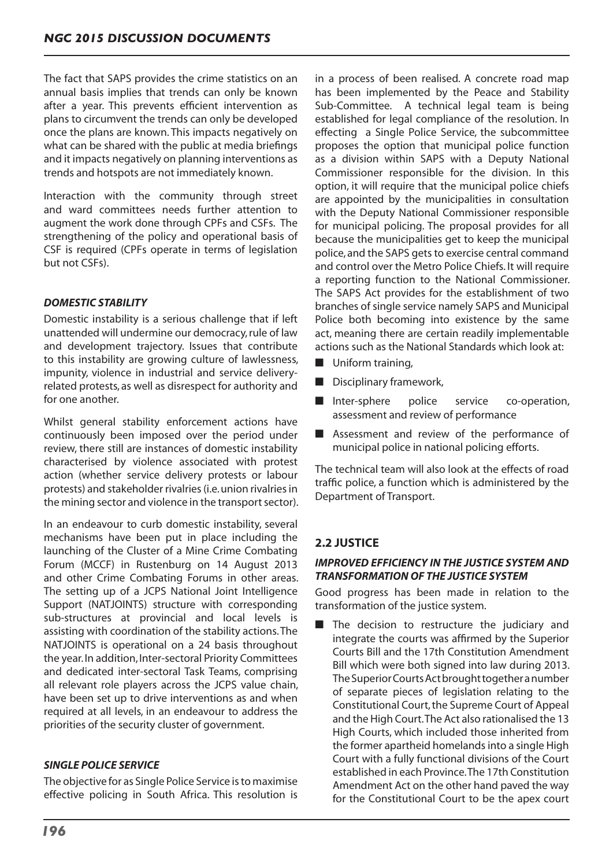The fact that SAPS provides the crime statistics on an annual basis implies that trends can only be known after a year. This prevents efficient intervention as plans to circumvent the trends can only be developed once the plans are known. This impacts negatively on what can be shared with the public at media briefings and it impacts negatively on planning interventions as trends and hotspots are not immediately known.

Interaction with the community through street and ward committees needs further attention to augment the work done through CPFs and CSFs. The strengthening of the policy and operational basis of CSF is required (CPFs operate in terms of legislation but not CSFs).

#### *DOMESTIC STABILITY*

Domestic instability is a serious challenge that if left unattended will undermine our democracy,rule of law and development trajectory. Issues that contribute to this instability are growing culture of lawlessness, impunity, violence in industrial and service deliveryrelated protests, as well as disrespect for authority and for one another.

Whilst general stability enforcement actions have continuously been imposed over the period under review, there still are instances of domestic instability characterised by violence associated with protest action (whether service delivery protests or labour protests) and stakeholder rivalries(i.e.union rivalriesin the mining sector and violence in the transport sector).

In an endeavour to curb domestic instability, several mechanisms have been put in place including the launching of the Cluster of a Mine Crime Combating Forum (MCCF) in Rustenburg on 14 August 2013 and other Crime Combating Forums in other areas. The setting up of a JCPS National Joint Intelligence Support (NATJOINTS) structure with corresponding sub-structures at provincial and local levels is assisting with coordination of the stability actions.The NATJOINTS is operational on a 24 basis throughout the year.In addition, Inter-sectoral Priority Committees and dedicated inter-sectoral Task Teams, comprising all relevant role players across the JCPS value chain, have been set up to drive interventions as and when required at all levels, in an endeavour to address the priorities of the security cluster of government.

### *SINGLE POLICE SERVICE*

The objective for as Single Police Service isto maximise effective policing in South Africa. This resolution is in a process of been realised. A concrete road map has been implemented by the Peace and Stability Sub-Committee. A technical legal team is being established for legal compliance of the resolution. In effecting a Single Police Service, the subcommittee proposes the option that municipal police function as a division within SAPS with a Deputy National Commissioner responsible for the division. In this option, it will require that the municipal police chiefs are appointed by the municipalities in consultation with the Deputy National Commissioner responsible for municipal policing. The proposal provides for all because the municipalities get to keep the municipal police, and the SAPS gets to exercise central command and control over the Metro Police Chiefs. It will require a reporting function to the National Commissioner. The SAPS Act provides for the establishment of two branches of single service namely SAPS and Municipal Police both becoming into existence by the same act, meaning there are certain readily implementable actions such as the National Standards which look at:

- $\blacksquare$  Uniform training,
- $\blacksquare$  Disciplinary framework,
- Inter-sphere police service co-operation, assessment and review of performance
- Assessment and review of the performance of municipal police in national policing efforts.

The technical team will also look at the effects of road traffic police, a function which is administered by the Department of Transport.

# **2.2 JUSTICE**

#### *IMPROVED EFFICIENCY IN THE JUSTICE SYSTEM AND TRANSFORMATION OF THE JUSTICE SYSTEM*

Good progress has been made in relation to the transformation of the justice system.

 $\blacksquare$  The decision to restructure the judiciary and integrate the courts was affirmed by the Superior Courts Bill and the 17th Constitution Amendment Bill which were both signed into law during 2013. TheSuperiorCourtsActbroughttogetheranumber of separate pieces of legislation relating to the Constitutional Court, the Supreme Court of Appeal and the High Court.The Act also rationalised the 13 High Courts, which included those inherited from the former apartheid homelandsinto a single High Court with a fully functional divisions of the Court established in each Province.The 17th Constitution Amendment Act on the other hand paved the way for the Constitutional Court to be the apex court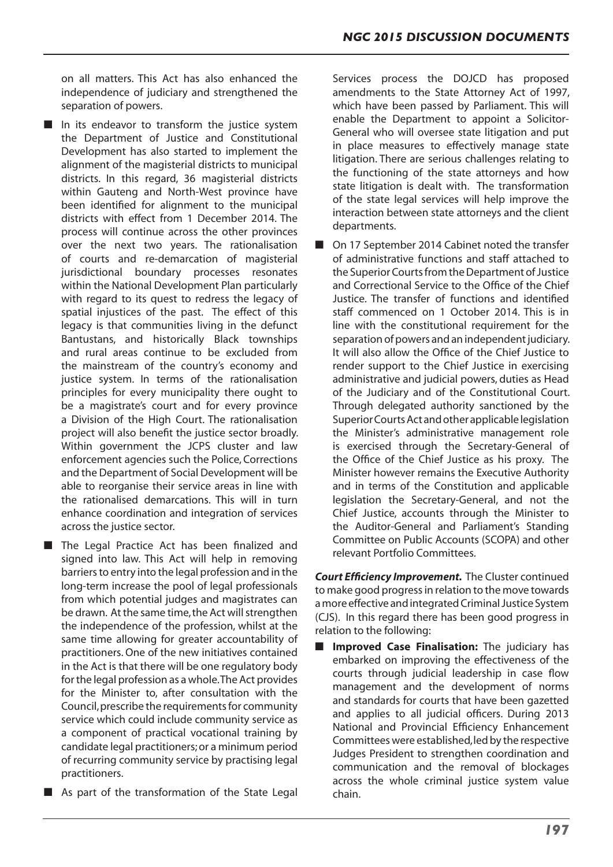on all matters. This Act has also enhanced the independence of judiciary and strengthened the separation of powers.

- $\blacksquare$  In its endeavor to transform the justice system the Department of Justice and Constitutional Development has also started to implement the alignment of the magisterial districts to municipal districts. In this regard, 36 magisterial districts within Gauteng and North-West province have been identified for alignment to the municipal districts with effect from 1 December 2014. The process will continue across the other provinces over the next two years. The rationalisation of courts and re-demarcation of magisterial jurisdictional boundary processes resonates within the National Development Plan particularly with regard to its quest to redress the legacy of spatial injustices of the past. The effect of this legacy is that communities living in the defunct Bantustans, and historically Black townships and rural areas continue to be excluded from the mainstream of the country's economy and justice system. In terms of the rationalisation principles for every municipality there ought to be a magistrate's court and for every province a Division of the High Court. The rationalisation project will also benefit the justice sector broadly. Within government the JCPS cluster and law enforcement agencies such the Police, Corrections and the Department of Social Development will be able to reorganise their service areas in line with the rationalised demarcations. This will in turn enhance coordination and integration of services across the justice sector.
- The Legal Practice Act has been finalized and signed into law. This Act will help in removing barriers to entry into the legal profession and in the long-term increase the pool of legal professionals from which potential judges and magistrates can be drawn. At the same time, the Act will strengthen the independence of the profession, whilst at the same time allowing for greater accountability of practitioners. One of the new initiatives contained in the Act is that there will be one regulatory body forthe legal profession as a whole.The Act provides for the Minister to, after consultation with the Council, prescribe the requirements for community service which could include community service as a component of practical vocational training by candidate legal practitioners;or a minimum period of recurring community service by practising legal practitioners.
- $\blacksquare$  As part of the transformation of the State Legal

Services process the DOJCD has proposed amendments to the State Attorney Act of 1997, which have been passed by Parliament. This will enable the Department to appoint a Solicitor-General who will oversee state litigation and put in place measures to effectively manage state litigation. There are serious challenges relating to the functioning of the state attorneys and how state litigation is dealt with. The transformation of the state legal services will help improve the interaction between state attorneys and the client departments.

On 17 September 2014 Cabinet noted the transfer of administrative functions and staff attached to the Superior Courts from the Department of Justice and Correctional Service to the Office of the Chief Justice. The transfer of functions and identified staff commenced on 1 October 2014. This is in line with the constitutional requirement for the separation of powers and an independent judiciary. It will also allow the Office of the Chief Justice to render support to the Chief Justice in exercising administrative and judicial powers, duties as Head of the Judiciary and of the Constitutional Court. Through delegated authority sanctioned by the SuperiorCourtsActandotherapplicablelegislation the Minister's administrative management role is exercised through the Secretary-General of the Office of the Chief Justice as his proxy. The Minister however remains the Executive Authority and in terms of the Constitution and applicable legislation the Secretary-General, and not the Chief Justice, accounts through the Minister to the Auditor-General and Parliament's Standing Committee on Public Accounts (SCOPA) and other relevant Portfolio Committees.

*Court Efficiency Improvement.* The Cluster continued to make good progressin relation to the move towards amore effective andintegratedCriminalJustice System (CJS). In this regard there has been good progress in relation to the following:

**Improved Case Finalisation:** The judiciary has embarked on improving the effectiveness of the courts through judicial leadership in case flow management and the development of norms and standards for courts that have been gazetted and applies to all judicial officers. During 2013 National and Provincial Efficiency Enhancement Committees were established, led by the respective Judges President to strengthen coordination and communication and the removal of blockages across the whole criminal justice system value chain.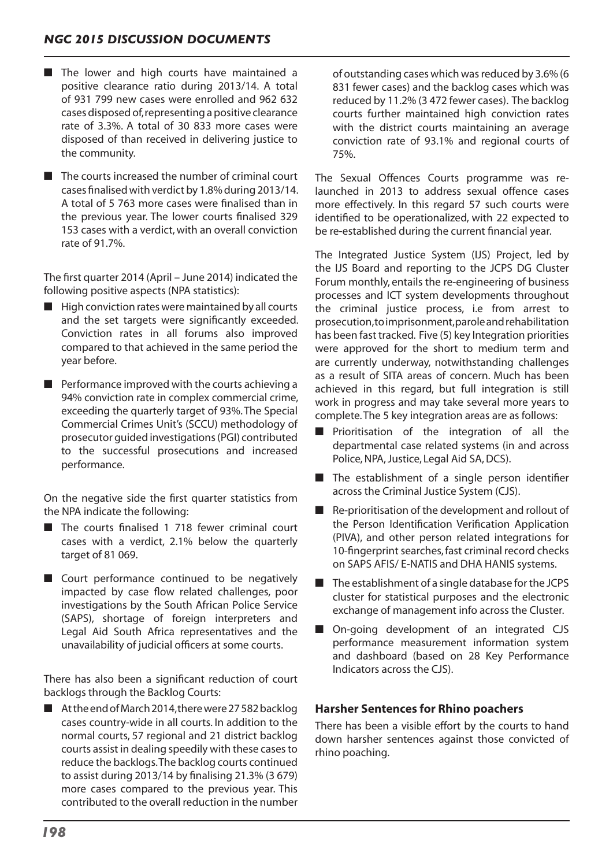- $\blacksquare$  The lower and high courts have maintained a positive clearance ratio during 2013/14. A total of 931 799 new cases were enrolled and 962 632 cases disposed of,representing a positive clearance rate of 3.3%. A total of 30 833 more cases were disposed of than received in delivering justice to the community.
- $\blacksquare$  The courts increased the number of criminal court cases finalisedwith verdict by 1.8%during 2013/14. A total of 5 763 more cases were finalised than in the previous year. The lower courts finalised 329 153 cases with a verdict,with an overall conviction rate of 91.7%.

The first quarter 2014 (April – June 2014) indicated the following positive aspects (NPA statistics):

- $\blacksquare$  High conviction rates were maintained by all courts and the set targets were significantly exceeded. Conviction rates in all forums also improved compared to that achieved in the same period the year before.
- $\blacksquare$  Performance improved with the courts achieving a 94% conviction rate in complex commercial crime, exceeding the quarterly target of 93%.The Special Commercial Crimes Unit's (SCCU) methodology of prosecutor guided investigations(PGI) contributed to the successful prosecutions and increased performance.

On the negative side the first quarter statistics from the NPA indicate the following:

- $\blacksquare$  The courts finalised 1 718 fewer criminal court cases with a verdict, 2.1% below the quarterly target of 81 069.
- $\blacksquare$  Court performance continued to be negatively impacted by case flow related challenges, poor investigations by the South African Police Service (SAPS), shortage of foreign interpreters and Legal Aid South Africa representatives and the unavailability of judicial officers at some courts.

There has also been a significant reduction of court backlogs through the Backlog Courts:

 $\blacksquare$  At the end of March 2014, there were 27 582 backlog cases country-wide in all courts. In addition to the normal courts, 57 regional and 21 district backlog courts assist in dealing speedily with these cases to reduce the backlogs.The backlog courts continued to assist during 2013/14 by finalising 21.3% (3 679) more cases compared to the previous year. This contributed to the overall reduction in the number

of outstanding cases which was reduced by 3.6% (6 831 fewer cases) and the backlog cases which was reduced by 11.2% (3 472 fewer cases). The backlog courts further maintained high conviction rates with the district courts maintaining an average conviction rate of 93.1% and regional courts of 75%.

The Sexual Offences Courts programme was relaunched in 2013 to address sexual offence cases more effectively. In this regard 57 such courts were identified to be operationalized, with 22 expected to be re-established during the current financial year.

The Integrated Justice System (IJS) Project, led by the IJS Board and reporting to the JCPS DG Cluster Forum monthly, entails the re-engineering of business processes and ICT system developments throughout the criminal justice process, i.e from arrest to prosecution,toimprisonment,paroleandrehabilitation has been fast tracked. Five (5) key Integration priorities were approved for the short to medium term and are currently underway, notwithstanding challenges as a result of SITA areas of concern. Much has been achieved in this regard, but full integration is still work in progress and may take several more years to complete.The 5 key integration areas are as follows:

- $\blacksquare$  Prioritisation of the integration of all the departmental case related systems (in and across Police, NPA, Justice, Legal Aid SA, DCS).
- $\blacksquare$  The establishment of a single person identifier across the Criminal Justice System (CJS).
- $\blacksquare$  Re-prioritisation of the development and rollout of the Person Identification Verification Application (PIVA), and other person related integrations for 10-fingerprint searches, fast criminal record checks on SAPS AFIS/ E-NATIS and DHA HANIS systems.
- The establishment of a single database for the JCPS cluster for statistical purposes and the electronic exchange of management info across the Cluster.
- On-going development of an integrated CJS performance measurement information system and dashboard (based on 28 Key Performance Indicators across the CJS).

#### **Harsher Sentences for Rhino poachers**

There has been a visible effort by the courts to hand down harsher sentences against those convicted of rhino poaching.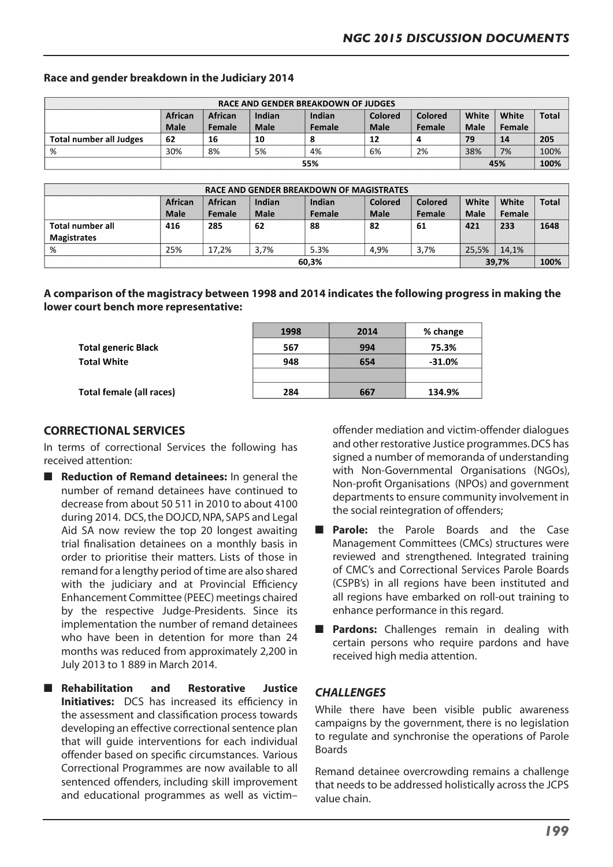| <b>RACE AND GENDER BREAKDOWN OF JUDGES</b> |                |         |             |        |             |         |             |        |              |
|--------------------------------------------|----------------|---------|-------------|--------|-------------|---------|-------------|--------|--------------|
|                                            | <b>African</b> | African | Indian      | Indian | Colored     | Colored | White       | White  | <b>Total</b> |
|                                            | <b>Male</b>    | Female  | <b>Male</b> | Female | <b>Male</b> | Female  | <b>Male</b> | Female |              |
| Total number all Judges                    | 62             | 16      | 10          |        | 12          |         | 79          | 14     | 205          |
| %                                          | 30%            | 8%      | 5%          | 4%     | 6%          | 2%      | 38%         | 7%     | 100%         |
|                                            | 55%            |         |             |        |             |         | 45%         |        | 100%         |

#### **Race and gender breakdown in the Judiciary 2014**

| RACE AND GENDER BREAKDOWN OF MAGISTRATES |                |               |             |        |             |         |             |        |              |
|------------------------------------------|----------------|---------------|-------------|--------|-------------|---------|-------------|--------|--------------|
|                                          | <b>African</b> | African       | Indian      | Indian | Colored     | Colored | White       | White  | <b>Total</b> |
|                                          | <b>Male</b>    | <b>Female</b> | <b>Male</b> | Female | <b>Male</b> | Female  | <b>Male</b> | Female |              |
| Total number all                         | 416            | 285           | 62          | 88     | 82          | 61      | 421         | 233    | 1648         |
| <b>Magistrates</b>                       |                |               |             |        |             |         |             |        |              |
| %                                        | 25%            | 17.2%         | 3.7%        | 5.3%   | 4.9%        | 3.7%    | 25.5%       | 14.1%  |              |
|                                          | 60,3%          |               |             |        |             | 39,7%   |             | 100%   |              |

**A comparison of the magistracy between 1998 and 2014 indicates the following progress in making the lower court bench more representative:**

|                            | 1998 | 2014 | % change  |
|----------------------------|------|------|-----------|
| <b>Total generic Black</b> | 567  | 994  | 75.3%     |
| <b>Total White</b>         | 948  | 654  | $-31.0\%$ |
|                            |      |      |           |
| Total female (all races)   | 284  | 667  | 134.9%    |

#### **CORRECTIONAL SERVICES**

In terms of correctional Services the following has received attention:

- **n** Reduction of Remand detainees: In general the number of remand detainees have continued to decrease from about 50 511 in 2010 to about 4100 during 2014. DCS, the DOJCD, NPA, SAPS and Legal Aid SA now review the top 20 longest awaiting trial finalisation detainees on a monthly basis in order to prioritise their matters. Lists of those in remand for a lengthy period of time are also shared with the judiciary and at Provincial Efficiency Enhancement Committee (PEEC) meetings chaired by the respective Judge-Presidents. Since its implementation the number of remand detainees who have been in detention for more than 24 months was reduced from approximately 2,200 in July 2013 to 1 889 in March 2014.
- n **Rehabilitation and Restorative Justice Initiatives:** DCS has increased its efficiency in the assessment and classification process towards developing an effective correctional sentence plan that will guide interventions for each individual offender based on specific circumstances. Various Correctional Programmes are now available to all sentenced offenders, including skill improvement and educational programmes as well as victim–

offender mediation and victim-offender dialogues and other restorative Justice programmes.DCS has signed a number of memoranda of understanding with Non-Governmental Organisations (NGOs), Non-profit Organisations (NPOs) and government departments to ensure community involvement in the social reintegration of offenders;

- **Parole:** the Parole Boards and the Case Management Committees (CMCs) structures were reviewed and strengthened. Integrated training of CMC's and Correctional Services Parole Boards (CSPB's) in all regions have been instituted and all regions have embarked on roll-out training to enhance performance in this regard.
- **Pardons:** Challenges remain in dealing with certain persons who require pardons and have received high media attention.

### *CHALLENGES*

While there have been visible public awareness campaigns by the government, there is no legislation to regulate and synchronise the operations of Parole Boards

Remand detainee overcrowding remains a challenge that needs to be addressed holistically across the JCPS value chain.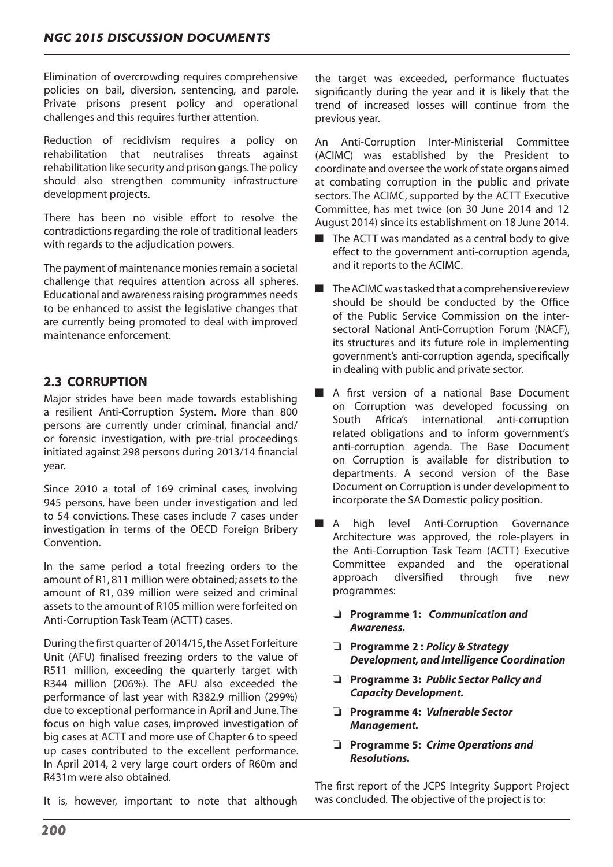Elimination of overcrowding requires comprehensive policies on bail, diversion, sentencing, and parole. Private prisons present policy and operational challenges and this requires further attention.

Reduction of recidivism requires a policy on rehabilitation that neutralises threats against rehabilitation like security and prison gangs.The policy should also strengthen community infrastructure development projects.

There has been no visible effort to resolve the contradictions regarding the role of traditional leaders with regards to the adjudication powers.

The payment of maintenance monies remain a societal challenge that requires attention across all spheres. Educational and awarenessraising programmes needs to be enhanced to assist the legislative changes that are currently being promoted to deal with improved maintenance enforcement.

# **2.3 CORRUPTION**

Major strides have been made towards establishing a resilient Anti-Corruption System. More than 800 persons are currently under criminal, financial and/ or forensic investigation, with pre-trial proceedings initiated against 298 persons during 2013/14 financial year.

Since 2010 a total of 169 criminal cases, involving 945 persons, have been under investigation and led to 54 convictions. These cases include 7 cases under investigation in terms of the OECD Foreign Bribery Convention.

In the same period a total freezing orders to the amount of R1, 811 million were obtained; assets to the amount of R1, 039 million were seized and criminal assets to the amount of R105 million were forfeited on Anti-Corruption Task Team (ACTT) cases.

During the first quarter of 2014/15,the Asset Forfeiture Unit (AFU) finalised freezing orders to the value of R511 million, exceeding the quarterly target with R344 million (206%). The AFU also exceeded the performance of last year with R382.9 million (299%) due to exceptional performance in April and June.The focus on high value cases, improved investigation of big cases at ACTT and more use of Chapter 6 to speed up cases contributed to the excellent performance. In April 2014, 2 very large court orders of R60m and R431m were also obtained.

It is, however, important to note that although

the target was exceeded, performance fluctuates significantly during the year and it is likely that the trend of increased losses will continue from the previous year.

An Anti-Corruption Inter-Ministerial Committee (ACIMC) was established by the President to coordinate and oversee the work of state organs aimed at combating corruption in the public and private sectors. The ACIMC, supported by the ACTT Executive Committee, has met twice (on 30 June 2014 and 12 August 2014) since its establishment on 18 June 2014.

- $\blacksquare$  The ACTT was mandated as a central body to give effect to the government anti-corruption agenda, and it reports to the ACIMC.
- $\blacksquare$  The ACIMC was tasked that a comprehensive review should be should be conducted by the Office of the Public Service Commission on the intersectoral National Anti-Corruption Forum (NACF), its structures and its future role in implementing government's anti-corruption agenda, specifically in dealing with public and private sector.
- A first version of a national Base Document on Corruption was developed focussing on South Africa's international anti-corruption related obligations and to inform government's anti-corruption agenda. The Base Document on Corruption is available for distribution to departments. A second version of the Base Document on Corruption is under development to incorporate the SA Domestic policy position.
- A high level Anti-Corruption Governance Architecture was approved, the role-players in the Anti-Corruption Task Team (ACTT) Executive Committee expanded and the operational approach diversified through five new programmes:
	- o **Programme 1:** *Communication and Awareness.*
	- o **Programme 2 :** *Policy & Strategy Development, and Intelligence Coordination*
	- o **Programme 3:** *Public Sector Policy and Capacity Development.*
	- o **Programme 4:** *Vulnerable Sector Management.*
	- o **Programme 5:** *Crime Operations and Resolutions.*

The first report of the JCPS Integrity Support Project was concluded. The objective of the project is to: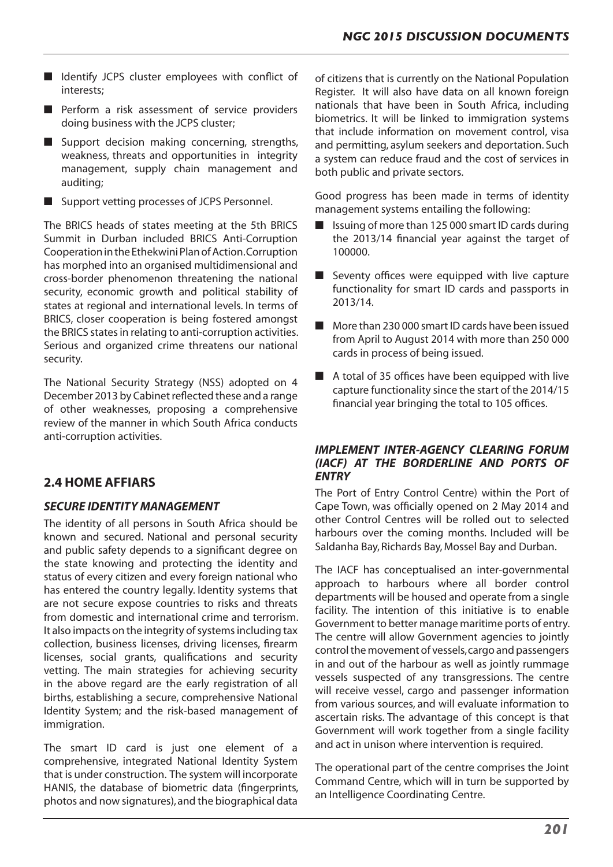- $\blacksquare$  Identify JCPS cluster employees with conflict of interests;
- $\blacksquare$  Perform a risk assessment of service providers doing business with the JCPS cluster;
- $\blacksquare$  Support decision making concerning, strengths, weakness, threats and opportunities in integrity management, supply chain management and auditing;
- $\blacksquare$  Support vetting processes of JCPS Personnel.

The BRICS heads of states meeting at the 5th BRICS Summit in Durban included BRICS Anti-Corruption CooperationintheEthekwiniPlanofAction.Corruption has morphed into an organised multidimensional and cross-border phenomenon threatening the national security, economic growth and political stability of states at regional and international levels. In terms of BRICS, closer cooperation is being fostered amongst the BRICS states in relating to anti-corruption activities. Serious and organized crime threatens our national security.

The National Security Strategy (NSS) adopted on 4 December 2013 by Cabinet reflected these and a range of other weaknesses, proposing a comprehensive review of the manner in which South Africa conducts anti-corruption activities.

# **2.4 HOME AFFIARS**

### *SECURE IDENTITY MANAGEMENT*

The identity of all persons in South Africa should be known and secured. National and personal security and public safety depends to a significant degree on the state knowing and protecting the identity and status of every citizen and every foreign national who has entered the country legally. Identity systems that are not secure expose countries to risks and threats from domestic and international crime and terrorism. It also impacts on the integrity of systems including tax collection, business licenses, driving licenses, firearm licenses, social grants, qualifications and security vetting. The main strategies for achieving security in the above regard are the early registration of all births, establishing a secure, comprehensive National Identity System; and the risk-based management of immigration.

The smart ID card is just one element of a comprehensive, integrated National Identity System that is under construction. The system will incorporate HANIS, the database of biometric data (fingerprints, photos and now signatures),and the biographical data

of citizens that is currently on the National Population Register. It will also have data on all known foreign nationals that have been in South Africa, including biometrics. It will be linked to immigration systems that include information on movement control, visa and permitting, asylum seekers and deportation. Such a system can reduce fraud and the cost of services in both public and private sectors.

Good progress has been made in terms of identity management systems entailing the following:

- $\blacksquare$  Issuing of more than 125 000 smart ID cards during the 2013/14 financial year against the target of 100000.
- $\blacksquare$  Seventy offices were equipped with live capture functionality for smart ID cards and passports in 2013/14.
- $\blacksquare$  More than 230 000 smart ID cards have been issued from April to August 2014 with more than 250 000 cards in process of being issued.
- $\blacksquare$  A total of 35 offices have been equipped with live capture functionality since the start of the 2014/15 financial year bringing the total to 105 offices.

#### *IMPLEMENT INTER-AGENCY CLEARING FORUM (IACF) AT THE BORDERLINE AND PORTS OF ENTRY*

The Port of Entry Control Centre) within the Port of Cape Town, was officially opened on 2 May 2014 and other Control Centres will be rolled out to selected harbours over the coming months. Included will be Saldanha Bay, Richards Bay, Mossel Bay and Durban.

The IACF has conceptualised an inter-governmental approach to harbours where all border control departments will be housed and operate from a single facility. The intention of this initiative is to enable Government to better manage maritime ports of entry. The centre will allow Government agencies to jointly control the movement of vessels, cargo and passengers in and out of the harbour as well as jointly rummage vessels suspected of any transgressions. The centre will receive vessel, cargo and passenger information from various sources, and will evaluate information to ascertain risks. The advantage of this concept is that Government will work together from a single facility and act in unison where intervention is required.

The operational part of the centre comprises the Joint Command Centre, which will in turn be supported by an Intelligence Coordinating Centre.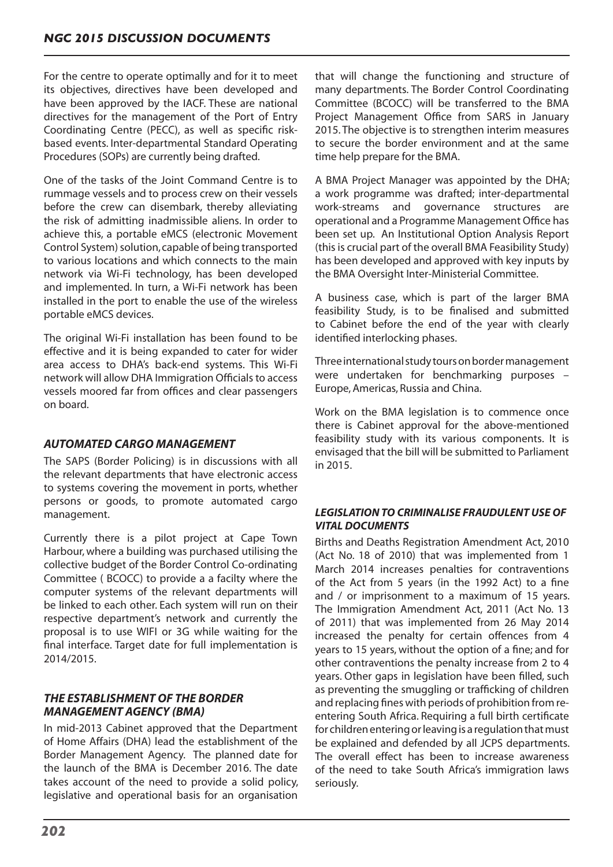For the centre to operate optimally and for it to meet its objectives, directives have been developed and have been approved by the IACF. These are national directives for the management of the Port of Entry Coordinating Centre (PECC), as well as specific riskbased events. Inter-departmental Standard Operating Procedures (SOPs) are currently being drafted.

One of the tasks of the Joint Command Centre is to rummage vessels and to process crew on their vessels before the crew can disembark, thereby alleviating the risk of admitting inadmissible aliens. In order to achieve this, a portable eMCS (electronic Movement Control System) solution, capable of being transported to various locations and which connects to the main network via Wi-Fi technology, has been developed and implemented. In turn, a Wi-Fi network has been installed in the port to enable the use of the wireless portable eMCS devices.

The original Wi-Fi installation has been found to be effective and it is being expanded to cater for wider area access to DHA's back-end systems. This Wi-Fi network will allow DHA Immigration Officialsto access vessels moored far from offices and clear passengers on board.

### *AUTOMATED CARGO MANAGEMENT*

The SAPS (Border Policing) is in discussions with all the relevant departments that have electronic access to systems covering the movement in ports, whether persons or goods, to promote automated cargo management.

Currently there is a pilot project at Cape Town Harbour, where a building was purchased utilising the collective budget of the Border Control Co-ordinating Committee ( BCOCC) to provide a a facilty where the computer systems of the relevant departments will be linked to each other. Each system will run on their respective department's network and currently the proposal is to use WIFI or 3G while waiting for the final interface. Target date for full implementation is 2014/2015.

#### *THE ESTABLISHMENT OF THE BORDER MANAGEMENT AGENCY (BMA)*

In mid-2013 Cabinet approved that the Department of Home Affairs (DHA) lead the establishment of the Border Management Agency. The planned date for the launch of the BMA is December 2016. The date takes account of the need to provide a solid policy, legislative and operational basis for an organisation

that will change the functioning and structure of many departments. The Border Control Coordinating Committee (BCOCC) will be transferred to the BMA Project Management Office from SARS in January 2015. The objective is to strengthen interim measures to secure the border environment and at the same time help prepare for the BMA.

A BMA Project Manager was appointed by the DHA; a work programme was drafted; inter-departmental work-streams and governance structures are operational and a Programme Management Office has been set up. An Institutional Option Analysis Report (this is crucial part of the overall BMA Feasibility Study) has been developed and approved with key inputs by the BMA Oversight Inter-Ministerial Committee.

A business case, which is part of the larger BMA feasibility Study, is to be finalised and submitted to Cabinet before the end of the year with clearly identified interlocking phases.

Threeinternationalstudytoursonbordermanagement were undertaken for benchmarking purposes – Europe,Americas, Russia and China.

Work on the BMA legislation is to commence once there is Cabinet approval for the above-mentioned feasibility study with its various components. It is envisaged that the bill will be submitted to Parliament in 2015.

#### *LEGISLATION TO CRIMINALISE FRAUDULENT USE OF VITAL DOCUMENTS*

Births and Deaths Registration Amendment Act, 2010 (Act No. 18 of 2010) that was implemented from 1 March 2014 increases penalties for contraventions of the Act from 5 years (in the 1992 Act) to a fine and / or imprisonment to a maximum of 15 years. The Immigration Amendment Act, 2011 (Act No. 13 of 2011) that was implemented from 26 May 2014 increased the penalty for certain offences from 4 years to 15 years, without the option of a fine; and for other contraventions the penalty increase from 2 to 4 years. Other gaps in legislation have been filled, such as preventing the smuggling or trafficking of children and replacing fines with periods of prohibition from reentering South Africa. Requiring a full birth certificate for children entering or leaving is a regulation that must be explained and defended by all JCPS departments. The overall effect has been to increase awareness of the need to take South Africa's immigration laws seriously.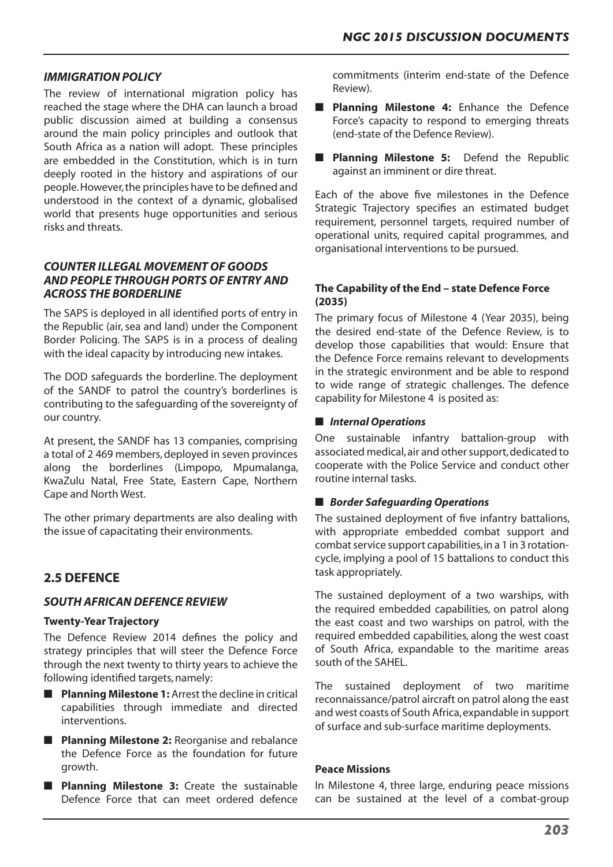#### *IMMIGRATION POLICY*

The review of international migration policy has reached the stage where the DHA can launch a broad public discussion aimed at building a consensus around the main policy principles and outlook that South Africa as a nation will adopt. These principles are embedded in the Constitution, which is in turn deeply rooted in the history and aspirations of our people.However,the principles have to be defined and understood in the context of a dynamic, globalised world that presents huge opportunities and serious risks and threats.

#### *COUNTER ILLEGAL MOVEMENT OF GOODS AND PEOPLE THROUGH PORTS OF ENTRY AND ACROSS THE BORDERLINE*

The SAPS is deployed in all identified ports of entry in the Republic (air, sea and land) under the Component Border Policing. The SAPS is in a process of dealing with the ideal capacity by introducing new intakes.

The DOD safeguards the borderline. The deployment of the SANDF to patrol the country's borderlines is contributing to the safeguarding of the sovereignty of our country.

At present, the SANDF has 13 companies, comprising a total of 2 469 members, deployed in seven provinces along the borderlines (Limpopo, Mpumalanga, KwaZulu Natal, Free State, Eastern Cape, Northern Cape and North West.

The other primary departments are also dealing with the issue of capacitating their environments.

# **2.5 DEFENCE**

#### *SOUTH AFRICAN DEFENCE REVIEW*

#### **Twenty-Year Trajectory**

The Defence Review 2014 defines the policy and strategy principles that will steer the Defence Force through the next twenty to thirty years to achieve the following identified targets, namely:

- **Planning Milestone 1:** Arrest the decline in critical capabilities through immediate and directed interventions.
- **n Planning Milestone 2:** Reorganise and rebalance the Defence Force as the foundation for future growth.
- **n** Planning Milestone 3: Create the sustainable Defence Force that can meet ordered defence

commitments (interim end-state of the Defence Review).

- **n Planning Milestone 4:** Enhance the Defence Force's capacity to respond to emerging threats (end-state of the Defence Review).
- **n Planning Milestone 5:** Defend the Republic against an imminent or dire threat.

Each of the above five milestones in the Defence Strategic Trajectory specifies an estimated budget requirement, personnel targets, required number of operational units, required capital programmes, and organisational interventions to be pursued.

#### **The Capability of the End – state Defence Force (2035)**

The primary focus of Milestone 4 (Year 2035), being the desired end-state of the Defence Review, is to develop those capabilities that would: Ensure that the Defence Force remains relevant to developments in the strategic environment and be able to respond to wide range of strategic challenges. The defence capability for Milestone 4 is posited as:

#### **n** *Internal Operations*

One sustainable infantry battalion-group with associated medical, air and other support, dedicated to cooperate with the Police Service and conduct other routine internal tasks.

#### ■ *Border Safequarding Operations*

The sustained deployment of five infantry battalions, with appropriate embedded combat support and combat service support capabilities, in a 1 in 3 rotationcycle, implying a pool of 15 battalions to conduct this task appropriately.

The sustained deployment of a two warships, with the required embedded capabilities, on patrol along the east coast and two warships on patrol, with the required embedded capabilities, along the west coast of South Africa, expandable to the maritime areas south of the SAHEL.

The sustained deployment of two maritime reconnaissance/patrol aircraft on patrol along the east and west coasts of South Africa,expandable in support of surface and sub-surface maritime deployments.

#### **Peace Missions**

In Milestone 4, three large, enduring peace missions can be sustained at the level of a combat-group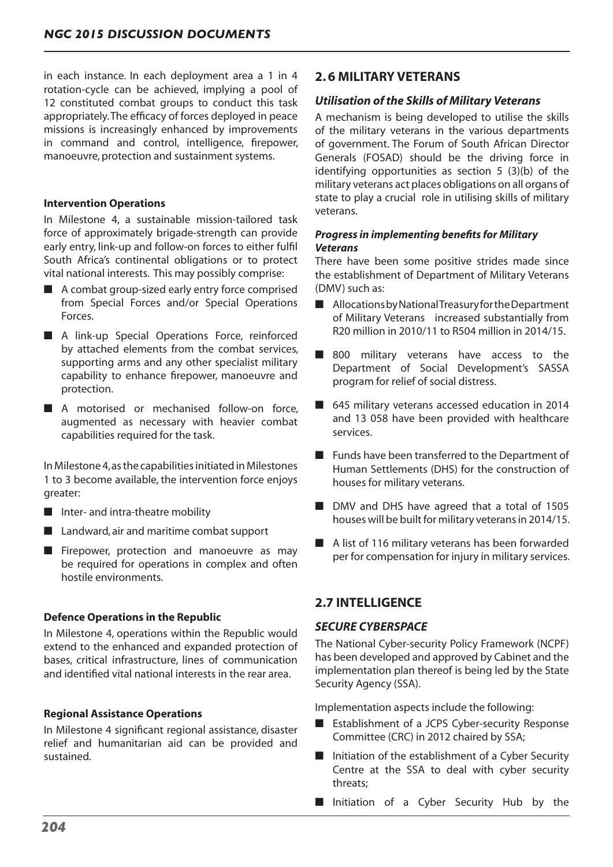in each instance. In each deployment area a 1 in 4 rotation-cycle can be achieved, implying a pool of 12 constituted combat groups to conduct this task appropriately.The efficacy of forces deployed in peace missions is increasingly enhanced by improvements in command and control, intelligence, firepower, manoeuvre, protection and sustainment systems.

#### **Intervention Operations**

In Milestone 4, a sustainable mission-tailored task force of approximately brigade-strength can provide early entry, link-up and follow-on forces to either fulfil South Africa's continental obligations or to protect vital national interests. This may possibly comprise:

- $\blacksquare$  A combat group-sized early entry force comprised from Special Forces and/or Special Operations Forces.
- A link-up Special Operations Force, reinforced by attached elements from the combat services, supporting arms and any other specialist military capability to enhance firepower, manoeuvre and protection.
- A motorised or mechanised follow-on force, augmented as necessary with heavier combat capabilities required for the task.

In Milestone 4,asthe capabilitiesinitiated in Milestones 1 to 3 become available, the intervention force enjoys greater:

- $\blacksquare$  Inter- and intra-theatre mobility
- $\blacksquare$  Landward, air and maritime combat support
- $\blacksquare$  Firepower, protection and manoeuvre as may be required for operations in complex and often hostile environments.

#### **Defence Operations in the Republic**

In Milestone 4, operations within the Republic would extend to the enhanced and expanded protection of bases, critical infrastructure, lines of communication and identified vital national interests in the rear area.

#### **Regional Assistance Operations**

In Milestone 4 significant regional assistance, disaster relief and humanitarian aid can be provided and sustained.

### **2. 6 MILITARY VETERANS**

#### *Utilisation of the Skills of Military Veterans*

A mechanism is being developed to utilise the skills of the military veterans in the various departments of government. The Forum of South African Director Generals (FOSAD) should be the driving force in identifying opportunities as section 5 (3)(b) of the military veterans act places obligations on all organs of state to play a crucial role in utilising skills of military veterans.

#### *Progress in implementing benefits for Military Veterans*

There have been some positive strides made since the establishment of Department of Military Veterans (DMV) such as:

- Allocations by National Treasury for the Department of Military Veterans increased substantially from R20 million in 2010/11 to R504 million in 2014/15.
- $\blacksquare$  800 military veterans have access to the Department of Social Development's SASSA program for relief of social distress.
- $\blacksquare$  645 military veterans accessed education in 2014 and 13 058 have been provided with healthcare services.
- $\blacksquare$  Funds have been transferred to the Department of Human Settlements (DHS) for the construction of houses for military veterans.
- DMV and DHS have agreed that a total of 1505 houses will be built for military veterans in 2014/15.
- $\blacksquare$  A list of 116 military veterans has been forwarded per for compensation for injury in military services.

# **2.7 INTELLIGENCE**

#### *SECURE CYBERSPACE*

The National Cyber-security Policy Framework (NCPF) has been developed and approved by Cabinet and the implementation plan thereof is being led by the State Security Agency (SSA).

Implementation aspects include the following:

- $\blacksquare$  Establishment of a JCPS Cyber-security Response Committee (CRC) in 2012 chaired by SSA;
- $\blacksquare$  Initiation of the establishment of a Cyber Security Centre at the SSA to deal with cyber security threats;
- **n** Initiation of a Cyber Security Hub by the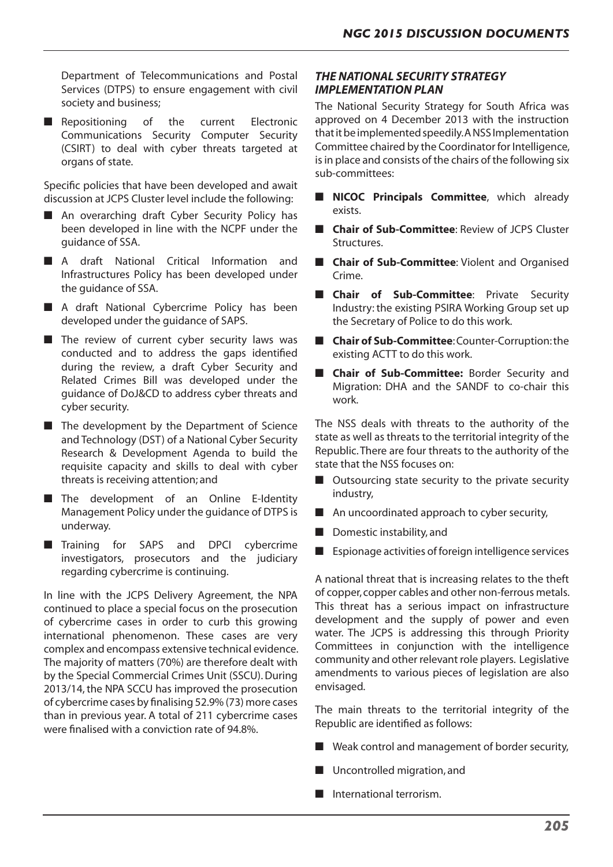Department of Telecommunications and Postal Services (DTPS) to ensure engagement with civil society and business;

**n** Repositioning of the current Electronic Communications Security Computer Security (CSIRT) to deal with cyber threats targeted at organs of state.

Specific policies that have been developed and await discussion at JCPS Cluster level include the following:

- An overarching draft Cyber Security Policy has been developed in line with the NCPF under the guidance of SSA.
- A draft National Critical Information and Infrastructures Policy has been developed under the guidance of SSA.
- A draft National Cybercrime Policy has been developed under the guidance of SAPS.
- $\blacksquare$  The review of current cyber security laws was conducted and to address the gaps identified during the review, a draft Cyber Security and Related Crimes Bill was developed under the guidance of DoJ&CD to address cyber threats and cyber security.
- $\blacksquare$  The development by the Department of Science and Technology (DST) of a National Cyber Security Research & Development Agenda to build the requisite capacity and skills to deal with cyber threats is receiving attention; and
- $\blacksquare$  The development of an Online E-Identity Management Policy under the guidance of DTPS is underway.
- Training for SAPS and DPCI cybercrime investigators, prosecutors and the judiciary regarding cybercrime is continuing.

In line with the JCPS Delivery Agreement, the NPA continued to place a special focus on the prosecution of cybercrime cases in order to curb this growing international phenomenon. These cases are very complex and encompass extensive technical evidence. The majority of matters (70%) are therefore dealt with by the Special Commercial Crimes Unit (SSCU). During 2013/14,the NPA SCCU has improved the prosecution of cybercrime cases by finalising 52.9% (73) more cases than in previous year. A total of 211 cybercrime cases were finalised with a conviction rate of 94.8%.

### *THE NATIONAL SECURITY STRATEGY IMPLEMENTATION PLAN*

The National Security Strategy for South Africa was approved on 4 December 2013 with the instruction that it be implemented speedily. ANSS Implementation Committee chaired by the Coordinator for Intelligence, is in place and consists of the chairs of the following six sub-committees:

- **n** NICOC Principals Committee, which already exists.
- **n Chair of Sub-Committee**: Review of JCPS Cluster Structures.
- **n** Chair of Sub-Committee: Violent and Organised Crime.
- **n Chair of Sub-Committee**: Private Security Industry: the existing PSIRA Working Group set up the Secretary of Police to do this work.
- **Chair of Sub-Committee**: Counter-Corruption: the existing ACTT to do this work.
- **Chair of Sub-Committee:** Border Security and Migration: DHA and the SANDF to co-chair this work.

The NSS deals with threats to the authority of the state as well as threats to the territorial integrity of the Republic.There are four threats to the authority of the state that the NSS focuses on:

- $\blacksquare$  Outsourcing state security to the private security industry,
- $\blacksquare$  An uncoordinated approach to cyber security,
- $\blacksquare$  Domestic instability, and
- $\blacksquare$  Espionage activities of foreign intelligence services

A national threat that is increasing relates to the theft of copper, copper cables and other non-ferrous metals. This threat has a serious impact on infrastructure development and the supply of power and even water. The JCPS is addressing this through Priority Committees in conjunction with the intelligence community and other relevant role players. Legislative amendments to various pieces of legislation are also envisaged.

The main threats to the territorial integrity of the Republic are identified as follows:

- $\blacksquare$  Weak control and management of border security,
- $\blacksquare$  Uncontrolled migration, and
- International terrorism.